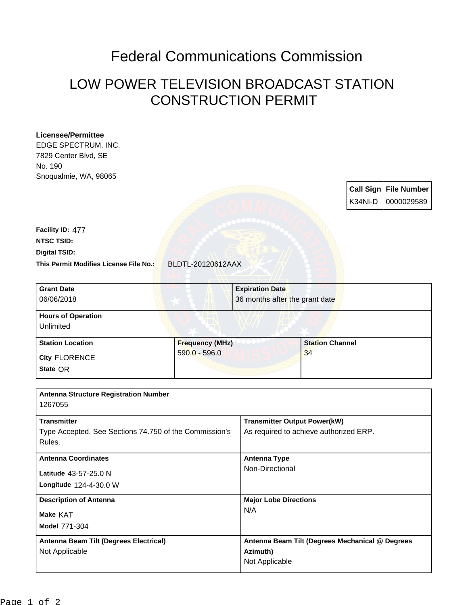## Federal Communications Commission

## LOW POWER TELEVISION BROADCAST STATION CONSTRUCTION PERMIT

## **Licensee/Permittee**

EDGE SPECTRUM, INC. 7829 Center Blvd, SE No. 190 Snoqualmie, WA, 98065

**Call Sign File Number** K34NI-D 0000029589 **This Permit Modifies License File No.:** BLDTL-20120612AAX **Digital TSID: NTSC TSID: Facility ID:** 477 **Grant Date** 06/06/2018 **Expiration Date** 36 months after the grant date **Hours of Operation** Unlimited

**State** OR **City** FLORENCE **Station Location Frequency (MHz)** 590.0 - 596.0 **Station Channel** 34

| <b>Antenna Structure Registration Number</b>           |                                                 |
|--------------------------------------------------------|-------------------------------------------------|
| 1267055                                                |                                                 |
| <b>Transmitter</b>                                     | <b>Transmitter Output Power(kW)</b>             |
| Type Accepted. See Sections 74.750 of the Commission's | As required to achieve authorized ERP.          |
| Rules.                                                 |                                                 |
| <b>Antenna Coordinates</b>                             | <b>Antenna Type</b>                             |
| Latitude 43-57-25.0 N                                  | Non-Directional                                 |
| Longitude 124-4-30.0 W                                 |                                                 |
| <b>Description of Antenna</b>                          | <b>Major Lobe Directions</b>                    |
| Make KAT                                               | N/A                                             |
| <b>Model 771-304</b>                                   |                                                 |
| Antenna Beam Tilt (Degrees Electrical)                 | Antenna Beam Tilt (Degrees Mechanical @ Degrees |
| Not Applicable                                         | Azimuth)                                        |
|                                                        | Not Applicable                                  |
|                                                        |                                                 |